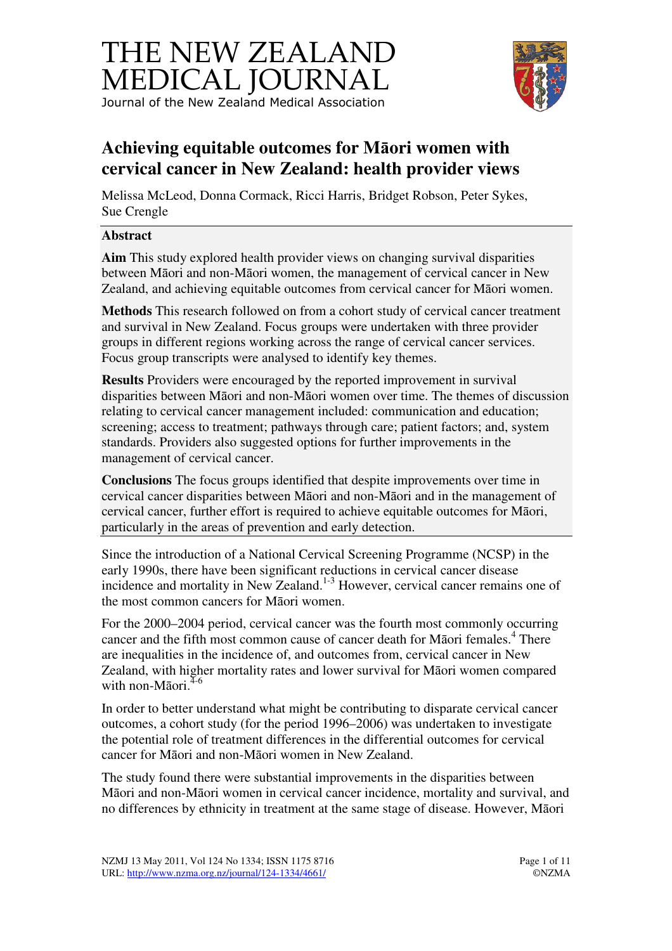



# **Achieving equitable outcomes for M**ā**ori women with cervical cancer in New Zealand: health provider views**

Melissa McLeod, Donna Cormack, Ricci Harris, Bridget Robson, Peter Sykes, Sue Crengle

## **Abstract**

**Aim** This study explored health provider views on changing survival disparities between Māori and non-Māori women, the management of cervical cancer in New Zealand, and achieving equitable outcomes from cervical cancer for Māori women.

**Methods** This research followed on from a cohort study of cervical cancer treatment and survival in New Zealand. Focus groups were undertaken with three provider groups in different regions working across the range of cervical cancer services. Focus group transcripts were analysed to identify key themes.

**Results** Providers were encouraged by the reported improvement in survival disparities between Māori and non-Māori women over time. The themes of discussion relating to cervical cancer management included: communication and education; screening; access to treatment; pathways through care; patient factors; and, system standards. Providers also suggested options for further improvements in the management of cervical cancer.

**Conclusions** The focus groups identified that despite improvements over time in cervical cancer disparities between Māori and non-Māori and in the management of cervical cancer, further effort is required to achieve equitable outcomes for Māori, particularly in the areas of prevention and early detection.

Since the introduction of a National Cervical Screening Programme (NCSP) in the early 1990s, there have been significant reductions in cervical cancer disease incidence and mortality in New Zealand.<sup>1-3</sup> However, cervical cancer remains one of the most common cancers for Māori women.

For the 2000–2004 period, cervical cancer was the fourth most commonly occurring cancer and the fifth most common cause of cancer death for Māori females.<sup>4</sup> There are inequalities in the incidence of, and outcomes from, cervical cancer in New Zealand, with higher mortality rates and lower survival for Māori women compared with non-Māori. $4-6$ 

In order to better understand what might be contributing to disparate cervical cancer outcomes, a cohort study (for the period 1996–2006) was undertaken to investigate the potential role of treatment differences in the differential outcomes for cervical cancer for Māori and non-Māori women in New Zealand.

The study found there were substantial improvements in the disparities between Māori and non-Māori women in cervical cancer incidence, mortality and survival, and no differences by ethnicity in treatment at the same stage of disease. However, Māori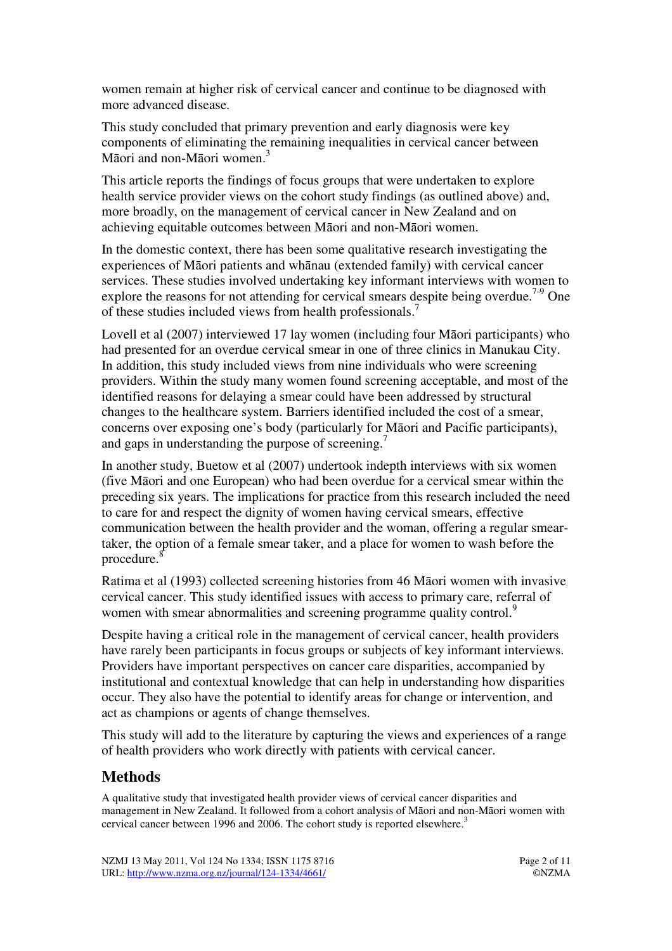women remain at higher risk of cervical cancer and continue to be diagnosed with more advanced disease.

This study concluded that primary prevention and early diagnosis were key components of eliminating the remaining inequalities in cervical cancer between Māori and non-Māori women.<sup>3</sup>

This article reports the findings of focus groups that were undertaken to explore health service provider views on the cohort study findings (as outlined above) and, more broadly, on the management of cervical cancer in New Zealand and on achieving equitable outcomes between Māori and non-Māori women.

In the domestic context, there has been some qualitative research investigating the experiences of Māori patients and whānau (extended family) with cervical cancer services. These studies involved undertaking key informant interviews with women to explore the reasons for not attending for cervical smears despite being overdue.<sup>7-9</sup> One of these studies included views from health professionals.<sup>7</sup>

Lovell et al (2007) interviewed 17 lay women (including four Māori participants) who had presented for an overdue cervical smear in one of three clinics in Manukau City. In addition, this study included views from nine individuals who were screening providers. Within the study many women found screening acceptable, and most of the identified reasons for delaying a smear could have been addressed by structural changes to the healthcare system. Barriers identified included the cost of a smear, concerns over exposing one's body (particularly for Māori and Pacific participants), and gaps in understanding the purpose of screening.<sup>7</sup>

In another study, Buetow et al (2007) undertook indepth interviews with six women (five Māori and one European) who had been overdue for a cervical smear within the preceding six years. The implications for practice from this research included the need to care for and respect the dignity of women having cervical smears, effective communication between the health provider and the woman, offering a regular smeartaker, the option of a female smear taker, and a place for women to wash before the procedure.<sup>8</sup>

Ratima et al (1993) collected screening histories from 46 Māori women with invasive cervical cancer. This study identified issues with access to primary care, referral of women with smear abnormalities and screening programme quality control.<sup>9</sup>

Despite having a critical role in the management of cervical cancer, health providers have rarely been participants in focus groups or subjects of key informant interviews. Providers have important perspectives on cancer care disparities, accompanied by institutional and contextual knowledge that can help in understanding how disparities occur. They also have the potential to identify areas for change or intervention, and act as champions or agents of change themselves.

This study will add to the literature by capturing the views and experiences of a range of health providers who work directly with patients with cervical cancer.

# **Methods**

A qualitative study that investigated health provider views of cervical cancer disparities and management in New Zealand. It followed from a cohort analysis of Māori and non-Māori women with cervical cancer between 1996 and 2006. The cohort study is reported elsewhere.<sup>3</sup>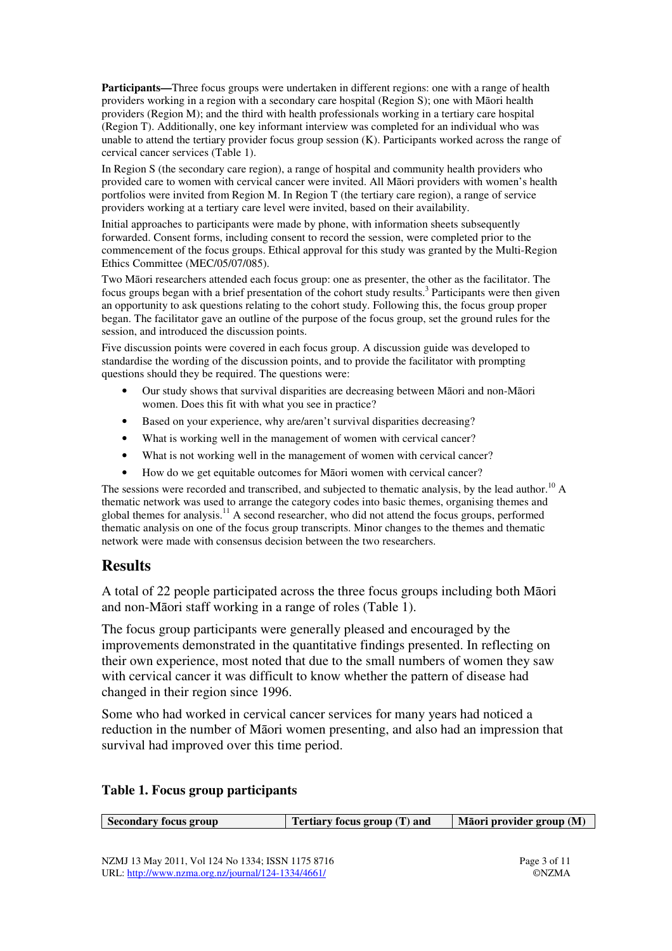**Participants—**Three focus groups were undertaken in different regions: one with a range of health providers working in a region with a secondary care hospital (Region S); one with Māori health providers (Region M); and the third with health professionals working in a tertiary care hospital (Region T). Additionally, one key informant interview was completed for an individual who was unable to attend the tertiary provider focus group session (K). Participants worked across the range of cervical cancer services (Table 1).

In Region S (the secondary care region), a range of hospital and community health providers who provided care to women with cervical cancer were invited. All Māori providers with women's health portfolios were invited from Region M. In Region T (the tertiary care region), a range of service providers working at a tertiary care level were invited, based on their availability.

Initial approaches to participants were made by phone, with information sheets subsequently forwarded. Consent forms, including consent to record the session, were completed prior to the commencement of the focus groups. Ethical approval for this study was granted by the Multi-Region Ethics Committee (MEC/05/07/085).

Two Māori researchers attended each focus group: one as presenter, the other as the facilitator. The focus groups began with a brief presentation of the cohort study results.<sup>3</sup> Participants were then given an opportunity to ask questions relating to the cohort study. Following this, the focus group proper began. The facilitator gave an outline of the purpose of the focus group, set the ground rules for the session, and introduced the discussion points.

Five discussion points were covered in each focus group. A discussion guide was developed to standardise the wording of the discussion points, and to provide the facilitator with prompting questions should they be required. The questions were:

- Our study shows that survival disparities are decreasing between Māori and non-Māori women. Does this fit with what you see in practice?
- Based on your experience, why are/aren't survival disparities decreasing?
- What is working well in the management of women with cervical cancer?
- What is not working well in the management of women with cervical cancer?
- How do we get equitable outcomes for Māori women with cervical cancer?

The sessions were recorded and transcribed, and subjected to thematic analysis, by the lead author.<sup>10</sup> A thematic network was used to arrange the category codes into basic themes, organising themes and global themes for analysis.<sup>11</sup> A second researcher, who did not attend the focus groups, performed thematic analysis on one of the focus group transcripts. Minor changes to the themes and thematic network were made with consensus decision between the two researchers.

# **Results**

A total of 22 people participated across the three focus groups including both Māori and non-Māori staff working in a range of roles (Table 1).

The focus group participants were generally pleased and encouraged by the improvements demonstrated in the quantitative findings presented. In reflecting on their own experience, most noted that due to the small numbers of women they saw with cervical cancer it was difficult to know whether the pattern of disease had changed in their region since 1996.

Some who had worked in cervical cancer services for many years had noticed a reduction in the number of Māori women presenting, and also had an impression that survival had improved over this time period.

#### **Table 1. Focus group participants**

| Secondary focus group | Tertiary focus group (T) and | Māori provider group (M) |
|-----------------------|------------------------------|--------------------------|
|                       |                              |                          |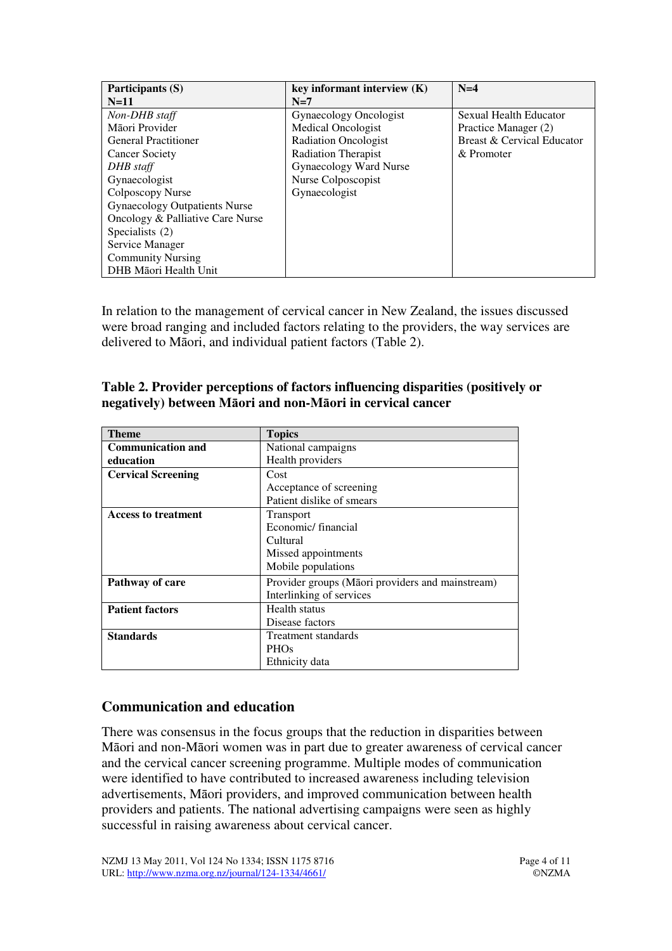| Participants (S)                     | key informant interview $(K)$ | $N=4$                      |
|--------------------------------------|-------------------------------|----------------------------|
| $N=11$                               | $N=7$                         |                            |
| Non-DHB staff                        | Gynaecology Oncologist        | Sexual Health Educator     |
| Māori Provider                       | Medical Oncologist            | Practice Manager (2)       |
| <b>General Practitioner</b>          | <b>Radiation Oncologist</b>   | Breast & Cervical Educator |
| <b>Cancer Society</b>                | <b>Radiation Therapist</b>    | & Promoter                 |
| DHB staff                            | Gynaecology Ward Nurse        |                            |
| Gynaecologist                        | Nurse Colposcopist            |                            |
| Colposcopy Nurse                     | Gynaecologist                 |                            |
| <b>Gynaecology Outpatients Nurse</b> |                               |                            |
| Oncology & Palliative Care Nurse     |                               |                            |
| Specialists (2)                      |                               |                            |
| Service Manager                      |                               |                            |
| <b>Community Nursing</b>             |                               |                            |
| DHB Māori Health Unit                |                               |                            |

In relation to the management of cervical cancer in New Zealand, the issues discussed were broad ranging and included factors relating to the providers, the way services are delivered to Māori, and individual patient factors (Table 2).

| Table 2. Provider perceptions of factors influencing disparities (positively or |
|---------------------------------------------------------------------------------|
| negatively) between Māori and non-Māori in cervical cancer                      |

| <b>Theme</b>               | <b>Topics</b>                                    |
|----------------------------|--------------------------------------------------|
| <b>Communication and</b>   | National campaigns                               |
| education                  | Health providers                                 |
| <b>Cervical Screening</b>  | Cost                                             |
|                            | Acceptance of screening                          |
|                            | Patient dislike of smears                        |
| <b>Access to treatment</b> | Transport                                        |
|                            | Economic/financial                               |
|                            | Cultural                                         |
|                            | Missed appointments                              |
|                            | Mobile populations                               |
| Pathway of care            | Provider groups (Māori providers and mainstream) |
|                            | Interlinking of services                         |
| <b>Patient factors</b>     | Health status                                    |
|                            | Disease factors                                  |
| <b>Standards</b>           | Treatment standards                              |
|                            | <b>PHOs</b>                                      |
|                            | Ethnicity data                                   |

# **Communication and education**

There was consensus in the focus groups that the reduction in disparities between Māori and non-Māori women was in part due to greater awareness of cervical cancer and the cervical cancer screening programme. Multiple modes of communication were identified to have contributed to increased awareness including television advertisements, Māori providers, and improved communication between health providers and patients. The national advertising campaigns were seen as highly successful in raising awareness about cervical cancer.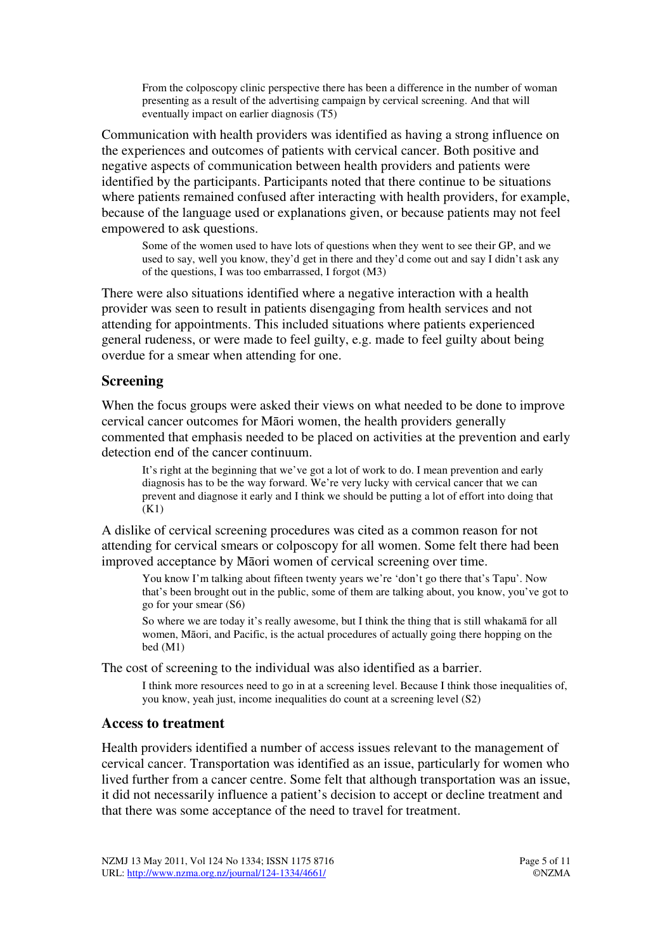From the colposcopy clinic perspective there has been a difference in the number of woman presenting as a result of the advertising campaign by cervical screening. And that will eventually impact on earlier diagnosis (T5)

Communication with health providers was identified as having a strong influence on the experiences and outcomes of patients with cervical cancer. Both positive and negative aspects of communication between health providers and patients were identified by the participants. Participants noted that there continue to be situations where patients remained confused after interacting with health providers, for example, because of the language used or explanations given, or because patients may not feel empowered to ask questions.

Some of the women used to have lots of questions when they went to see their GP, and we used to say, well you know, they'd get in there and they'd come out and say I didn't ask any of the questions, I was too embarrassed, I forgot (M3)

There were also situations identified where a negative interaction with a health provider was seen to result in patients disengaging from health services and not attending for appointments. This included situations where patients experienced general rudeness, or were made to feel guilty, e.g. made to feel guilty about being overdue for a smear when attending for one.

## **Screening**

When the focus groups were asked their views on what needed to be done to improve cervical cancer outcomes for Māori women, the health providers generally commented that emphasis needed to be placed on activities at the prevention and early detection end of the cancer continuum.

It's right at the beginning that we've got a lot of work to do. I mean prevention and early diagnosis has to be the way forward. We're very lucky with cervical cancer that we can prevent and diagnose it early and I think we should be putting a lot of effort into doing that (K1)

A dislike of cervical screening procedures was cited as a common reason for not attending for cervical smears or colposcopy for all women. Some felt there had been improved acceptance by Māori women of cervical screening over time.

You know I'm talking about fifteen twenty years we're 'don't go there that's Tapu'. Now that's been brought out in the public, some of them are talking about, you know, you've got to go for your smear (S6)

So where we are today it's really awesome, but I think the thing that is still whakamā for all women, Māori, and Pacific, is the actual procedures of actually going there hopping on the bed (M1)

The cost of screening to the individual was also identified as a barrier.

I think more resources need to go in at a screening level. Because I think those inequalities of, you know, yeah just, income inequalities do count at a screening level (S2)

#### **Access to treatment**

Health providers identified a number of access issues relevant to the management of cervical cancer. Transportation was identified as an issue, particularly for women who lived further from a cancer centre. Some felt that although transportation was an issue, it did not necessarily influence a patient's decision to accept or decline treatment and that there was some acceptance of the need to travel for treatment.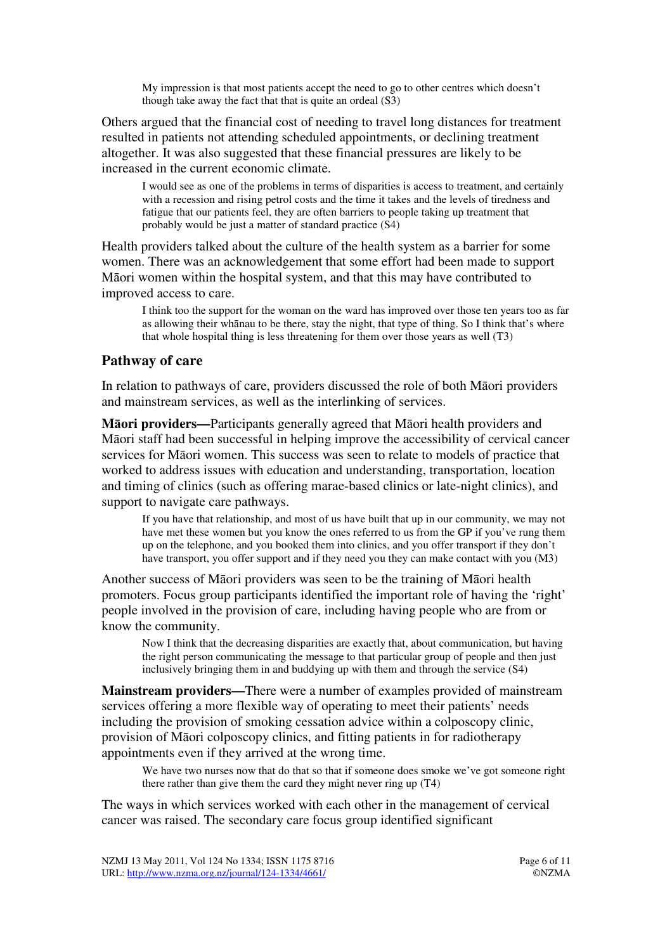My impression is that most patients accept the need to go to other centres which doesn't though take away the fact that that is quite an ordeal (S3)

Others argued that the financial cost of needing to travel long distances for treatment resulted in patients not attending scheduled appointments, or declining treatment altogether. It was also suggested that these financial pressures are likely to be increased in the current economic climate.

I would see as one of the problems in terms of disparities is access to treatment, and certainly with a recession and rising petrol costs and the time it takes and the levels of tiredness and fatigue that our patients feel, they are often barriers to people taking up treatment that probably would be just a matter of standard practice (S4)

Health providers talked about the culture of the health system as a barrier for some women. There was an acknowledgement that some effort had been made to support Māori women within the hospital system, and that this may have contributed to improved access to care.

I think too the support for the woman on the ward has improved over those ten years too as far as allowing their whānau to be there, stay the night, that type of thing. So I think that's where that whole hospital thing is less threatening for them over those years as well (T3)

## **Pathway of care**

In relation to pathways of care, providers discussed the role of both Māori providers and mainstream services, as well as the interlinking of services.

**M**ā**ori providers—**Participants generally agreed that Māori health providers and Māori staff had been successful in helping improve the accessibility of cervical cancer services for Māori women. This success was seen to relate to models of practice that worked to address issues with education and understanding, transportation, location and timing of clinics (such as offering marae-based clinics or late-night clinics), and support to navigate care pathways.

If you have that relationship, and most of us have built that up in our community, we may not have met these women but you know the ones referred to us from the GP if you've rung them up on the telephone, and you booked them into clinics, and you offer transport if they don't have transport, you offer support and if they need you they can make contact with you (M3)

Another success of Māori providers was seen to be the training of Māori health promoters. Focus group participants identified the important role of having the 'right' people involved in the provision of care, including having people who are from or know the community.

Now I think that the decreasing disparities are exactly that, about communication, but having the right person communicating the message to that particular group of people and then just inclusively bringing them in and buddying up with them and through the service (S4)

**Mainstream providers—**There were a number of examples provided of mainstream services offering a more flexible way of operating to meet their patients' needs including the provision of smoking cessation advice within a colposcopy clinic, provision of Māori colposcopy clinics, and fitting patients in for radiotherapy appointments even if they arrived at the wrong time.

We have two nurses now that do that so that if someone does smoke we've got someone right there rather than give them the card they might never ring up (T4)

The ways in which services worked with each other in the management of cervical cancer was raised. The secondary care focus group identified significant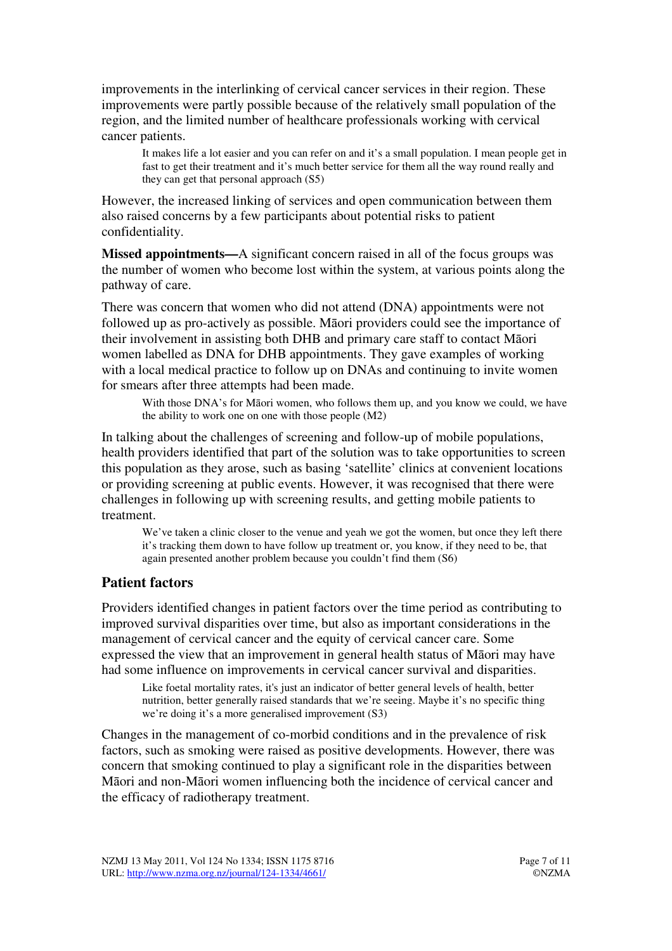improvements in the interlinking of cervical cancer services in their region. These improvements were partly possible because of the relatively small population of the region, and the limited number of healthcare professionals working with cervical cancer patients.

It makes life a lot easier and you can refer on and it's a small population. I mean people get in fast to get their treatment and it's much better service for them all the way round really and they can get that personal approach (S5)

However, the increased linking of services and open communication between them also raised concerns by a few participants about potential risks to patient confidentiality.

**Missed appointments—**A significant concern raised in all of the focus groups was the number of women who become lost within the system, at various points along the pathway of care.

There was concern that women who did not attend (DNA) appointments were not followed up as pro-actively as possible. Māori providers could see the importance of their involvement in assisting both DHB and primary care staff to contact Māori women labelled as DNA for DHB appointments. They gave examples of working with a local medical practice to follow up on DNAs and continuing to invite women for smears after three attempts had been made.

With those DNA's for Māori women, who follows them up, and you know we could, we have the ability to work one on one with those people (M2)

In talking about the challenges of screening and follow-up of mobile populations, health providers identified that part of the solution was to take opportunities to screen this population as they arose, such as basing 'satellite' clinics at convenient locations or providing screening at public events. However, it was recognised that there were challenges in following up with screening results, and getting mobile patients to treatment.

We've taken a clinic closer to the venue and yeah we got the women, but once they left there it's tracking them down to have follow up treatment or, you know, if they need to be, that again presented another problem because you couldn't find them (S6)

# **Patient factors**

Providers identified changes in patient factors over the time period as contributing to improved survival disparities over time, but also as important considerations in the management of cervical cancer and the equity of cervical cancer care. Some expressed the view that an improvement in general health status of Māori may have had some influence on improvements in cervical cancer survival and disparities.

Like foetal mortality rates, it's just an indicator of better general levels of health, better nutrition, better generally raised standards that we're seeing. Maybe it's no specific thing we're doing it's a more generalised improvement (S3)

Changes in the management of co-morbid conditions and in the prevalence of risk factors, such as smoking were raised as positive developments. However, there was concern that smoking continued to play a significant role in the disparities between Māori and non-Māori women influencing both the incidence of cervical cancer and the efficacy of radiotherapy treatment.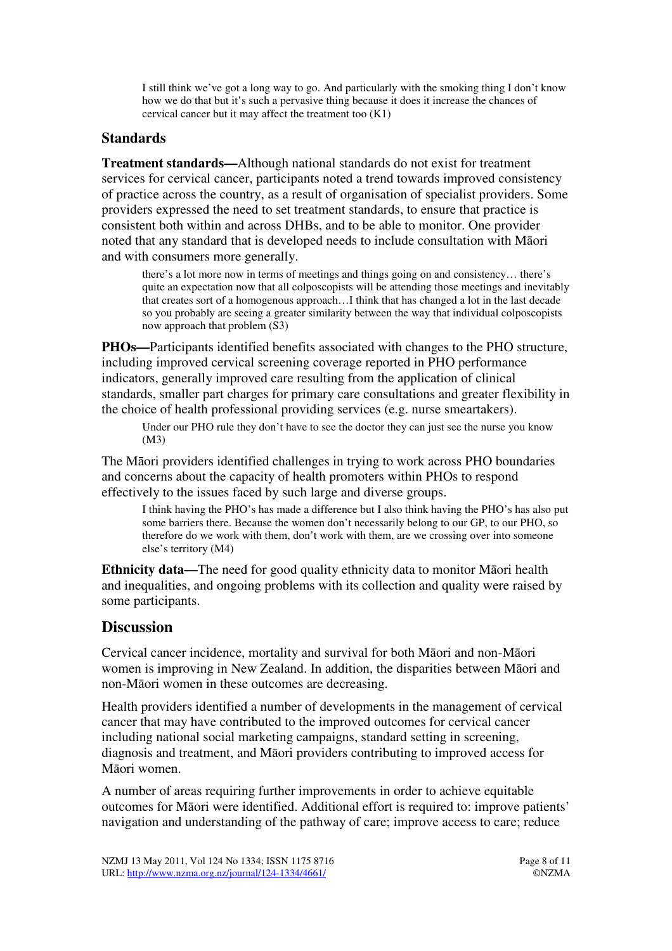I still think we've got a long way to go. And particularly with the smoking thing I don't know how we do that but it's such a pervasive thing because it does it increase the chances of cervical cancer but it may affect the treatment too (K1)

# **Standards**

**Treatment standards—**Although national standards do not exist for treatment services for cervical cancer, participants noted a trend towards improved consistency of practice across the country, as a result of organisation of specialist providers. Some providers expressed the need to set treatment standards, to ensure that practice is consistent both within and across DHBs, and to be able to monitor. One provider noted that any standard that is developed needs to include consultation with Māori and with consumers more generally.

there's a lot more now in terms of meetings and things going on and consistency… there's quite an expectation now that all colposcopists will be attending those meetings and inevitably that creates sort of a homogenous approach…I think that has changed a lot in the last decade so you probably are seeing a greater similarity between the way that individual colposcopists now approach that problem (S3)

**PHOs—**Participants identified benefits associated with changes to the PHO structure, including improved cervical screening coverage reported in PHO performance indicators, generally improved care resulting from the application of clinical standards, smaller part charges for primary care consultations and greater flexibility in the choice of health professional providing services (e.g. nurse smeartakers).

Under our PHO rule they don't have to see the doctor they can just see the nurse you know (M3)

The Māori providers identified challenges in trying to work across PHO boundaries and concerns about the capacity of health promoters within PHOs to respond effectively to the issues faced by such large and diverse groups.

I think having the PHO's has made a difference but I also think having the PHO's has also put some barriers there. Because the women don't necessarily belong to our GP, to our PHO, so therefore do we work with them, don't work with them, are we crossing over into someone else's territory (M4)

**Ethnicity data—**The need for good quality ethnicity data to monitor Māori health and inequalities, and ongoing problems with its collection and quality were raised by some participants.

# **Discussion**

Cervical cancer incidence, mortality and survival for both Māori and non-Māori women is improving in New Zealand. In addition, the disparities between Māori and non-Māori women in these outcomes are decreasing.

Health providers identified a number of developments in the management of cervical cancer that may have contributed to the improved outcomes for cervical cancer including national social marketing campaigns, standard setting in screening, diagnosis and treatment, and Māori providers contributing to improved access for Māori women.

A number of areas requiring further improvements in order to achieve equitable outcomes for Māori were identified. Additional effort is required to: improve patients' navigation and understanding of the pathway of care; improve access to care; reduce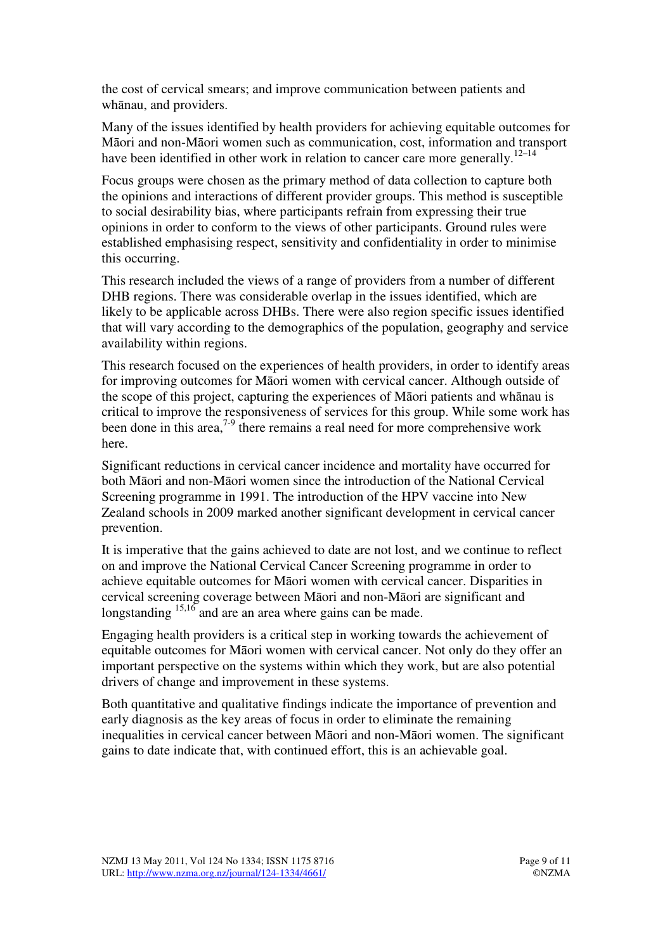the cost of cervical smears; and improve communication between patients and whānau, and providers.

Many of the issues identified by health providers for achieving equitable outcomes for Māori and non-Māori women such as communication, cost, information and transport have been identified in other work in relation to cancer care more generally.<sup>12–14</sup>

Focus groups were chosen as the primary method of data collection to capture both the opinions and interactions of different provider groups. This method is susceptible to social desirability bias, where participants refrain from expressing their true opinions in order to conform to the views of other participants. Ground rules were established emphasising respect, sensitivity and confidentiality in order to minimise this occurring.

This research included the views of a range of providers from a number of different DHB regions. There was considerable overlap in the issues identified, which are likely to be applicable across DHBs. There were also region specific issues identified that will vary according to the demographics of the population, geography and service availability within regions.

This research focused on the experiences of health providers, in order to identify areas for improving outcomes for Māori women with cervical cancer. Although outside of the scope of this project, capturing the experiences of Māori patients and whānau is critical to improve the responsiveness of services for this group. While some work has been done in this area,<sup>7-9</sup> there remains a real need for more comprehensive work here.

Significant reductions in cervical cancer incidence and mortality have occurred for both Māori and non-Māori women since the introduction of the National Cervical Screening programme in 1991. The introduction of the HPV vaccine into New Zealand schools in 2009 marked another significant development in cervical cancer prevention.

It is imperative that the gains achieved to date are not lost, and we continue to reflect on and improve the National Cervical Cancer Screening programme in order to achieve equitable outcomes for Māori women with cervical cancer. Disparities in cervical screening coverage between Māori and non-Māori are significant and longstanding  $15,16$  and are an area where gains can be made.

Engaging health providers is a critical step in working towards the achievement of equitable outcomes for Māori women with cervical cancer. Not only do they offer an important perspective on the systems within which they work, but are also potential drivers of change and improvement in these systems.

Both quantitative and qualitative findings indicate the importance of prevention and early diagnosis as the key areas of focus in order to eliminate the remaining inequalities in cervical cancer between Māori and non-Māori women. The significant gains to date indicate that, with continued effort, this is an achievable goal.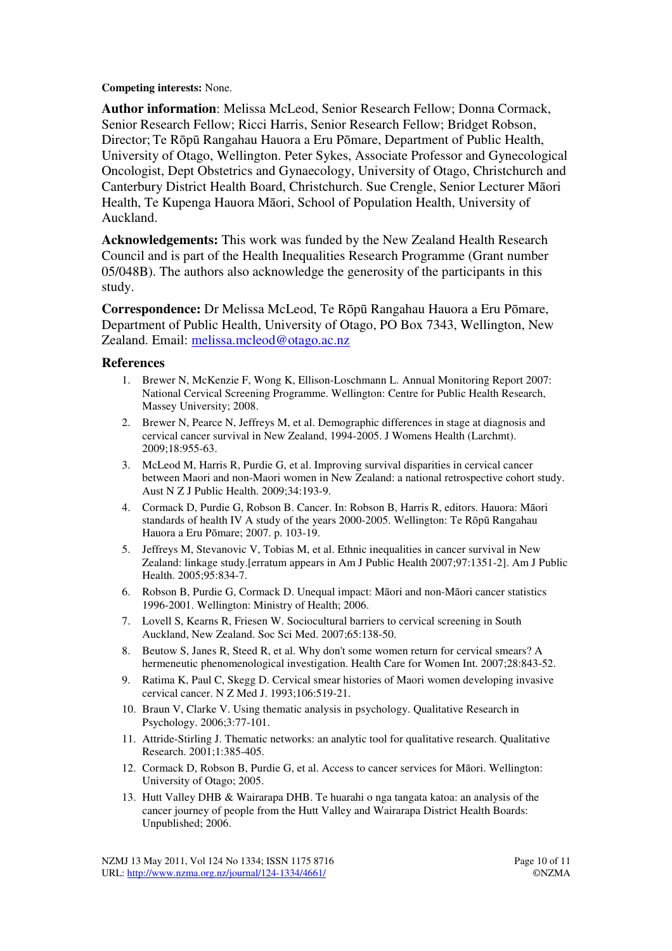**Competing interests:** None.

**Author information**: Melissa McLeod, Senior Research Fellow; Donna Cormack, Senior Research Fellow; Ricci Harris, Senior Research Fellow; Bridget Robson, Director; Te Rōpū Rangahau Hauora a Eru Pōmare, Department of Public Health, University of Otago, Wellington. Peter Sykes, Associate Professor and Gynecological Oncologist, Dept Obstetrics and Gynaecology, University of Otago, Christchurch and Canterbury District Health Board, Christchurch. Sue Crengle, Senior Lecturer Māori Health, Te Kupenga Hauora Māori, School of Population Health, University of Auckland.

**Acknowledgements:** This work was funded by the New Zealand Health Research Council and is part of the Health Inequalities Research Programme (Grant number 05/048B). The authors also acknowledge the generosity of the participants in this study.

**Correspondence:** Dr Melissa McLeod, Te Rōpū Rangahau Hauora a Eru Pōmare, Department of Public Health, University of Otago, PO Box 7343, Wellington, New Zealand. Email: melissa.mcleod@otago.ac.nz

#### **References**

- 1. Brewer N, McKenzie F, Wong K, Ellison-Loschmann L. Annual Monitoring Report 2007: National Cervical Screening Programme. Wellington: Centre for Public Health Research, Massey University; 2008.
- 2. Brewer N, Pearce N, Jeffreys M, et al. Demographic differences in stage at diagnosis and cervical cancer survival in New Zealand, 1994-2005. J Womens Health (Larchmt). 2009;18:955-63.
- 3. McLeod M, Harris R, Purdie G, et al. Improving survival disparities in cervical cancer between Maori and non-Maori women in New Zealand: a national retrospective cohort study. Aust N Z J Public Health. 2009;34:193-9.
- 4. Cormack D, Purdie G, Robson B. Cancer. In: Robson B, Harris R, editors. Hauora: Māori standards of health IV A study of the years 2000-2005. Wellington: Te Rōpū Rangahau Hauora a Eru Pōmare; 2007. p. 103-19.
- 5. Jeffreys M, Stevanovic V, Tobias M, et al. Ethnic inequalities in cancer survival in New Zealand: linkage study.[erratum appears in Am J Public Health 2007;97:1351-2]. Am J Public Health. 2005;95:834-7.
- 6. Robson B, Purdie G, Cormack D. Unequal impact: Māori and non-Māori cancer statistics 1996-2001. Wellington: Ministry of Health; 2006.
- 7. Lovell S, Kearns R, Friesen W. Sociocultural barriers to cervical screening in South Auckland, New Zealand. Soc Sci Med. 2007;65:138-50.
- 8. Beutow S, Janes R, Steed R, et al. Why don't some women return for cervical smears? A hermeneutic phenomenological investigation. Health Care for Women Int. 2007;28:843-52.
- 9. Ratima K, Paul C, Skegg D. Cervical smear histories of Maori women developing invasive cervical cancer. N Z Med J. 1993;106:519-21.
- 10. Braun V, Clarke V. Using thematic analysis in psychology. Qualitative Research in Psychology. 2006;3:77-101.
- 11. Attride-Stirling J. Thematic networks: an analytic tool for qualitative research. Qualitative Research. 2001;1:385-405.
- 12. Cormack D, Robson B, Purdie G, et al. Access to cancer services for Māori. Wellington: University of Otago; 2005.
- 13. Hutt Valley DHB & Wairarapa DHB. Te huarahi o nga tangata katoa: an analysis of the cancer journey of people from the Hutt Valley and Wairarapa District Health Boards: Unpublished; 2006.